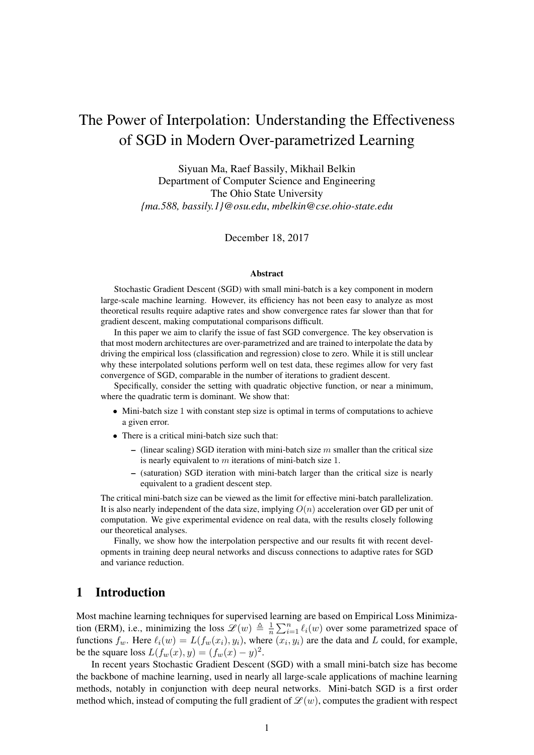# The Power of Interpolation: Understanding the Effectiveness of SGD in Modern Over-parametrized Learning

Siyuan Ma, Raef Bassily, Mikhail Belkin Department of Computer Science and Engineering The Ohio State University *{ma.588, bassily.1}@osu.edu*, *mbelkin@cse.ohio-state.edu*

December 18, 2017

#### **Abstract**

Stochastic Gradient Descent (SGD) with small mini-batch is a key component in modern large-scale machine learning. However, its efficiency has not been easy to analyze as most theoretical results require adaptive rates and show convergence rates far slower than that for gradient descent, making computational comparisons difficult.

In this paper we aim to clarify the issue of fast SGD convergence. The key observation is that most modern architectures are over-parametrized and are trained to interpolate the data by driving the empirical loss (classification and regression) close to zero. While it is still unclear why these interpolated solutions perform well on test data, these regimes allow for very fast convergence of SGD, comparable in the number of iterations to gradient descent.

Specifically, consider the setting with quadratic objective function, or near a minimum, where the quadratic term is dominant. We show that:

- Mini-batch size 1 with constant step size is optimal in terms of computations to achieve a given error.
- There is a critical mini-batch size such that:
	- (linear scaling) SGD iteration with mini-batch size  $m$  smaller than the critical size is nearly equivalent to m iterations of mini-batch size 1.
	- (saturation) SGD iteration with mini-batch larger than the critical size is nearly equivalent to a gradient descent step.

The critical mini-batch size can be viewed as the limit for effective mini-batch parallelization. It is also nearly independent of the data size, implying  $O(n)$  acceleration over GD per unit of computation. We give experimental evidence on real data, with the results closely following our theoretical analyses.

Finally, we show how the interpolation perspective and our results fit with recent developments in training deep neural networks and discuss connections to adaptive rates for SGD and variance reduction.

### 1 Introduction

Most machine learning techniques for supervised learning are based on Empirical Loss Minimization (ERM), i.e., minimizing the loss  $\mathscr{L}(w) \triangleq \frac{1}{n}$  $\frac{1}{n} \sum_{i=1}^{n} \ell_i(w)$  over some parametrized space of functions  $f_w$ . Here  $\ell_i(w) = L(f_w(x_i), y_i)$ , where  $(x_i, y_i)$  are the data and L could, for example, be the square loss  $L(f_w(x), y) = (f_w(x) - y)^2$ .

In recent years Stochastic Gradient Descent (SGD) with a small mini-batch size has become the backbone of machine learning, used in nearly all large-scale applications of machine learning methods, notably in conjunction with deep neural networks. Mini-batch SGD is a first order method which, instead of computing the full gradient of  $\mathcal{L}(w)$ , computes the gradient with respect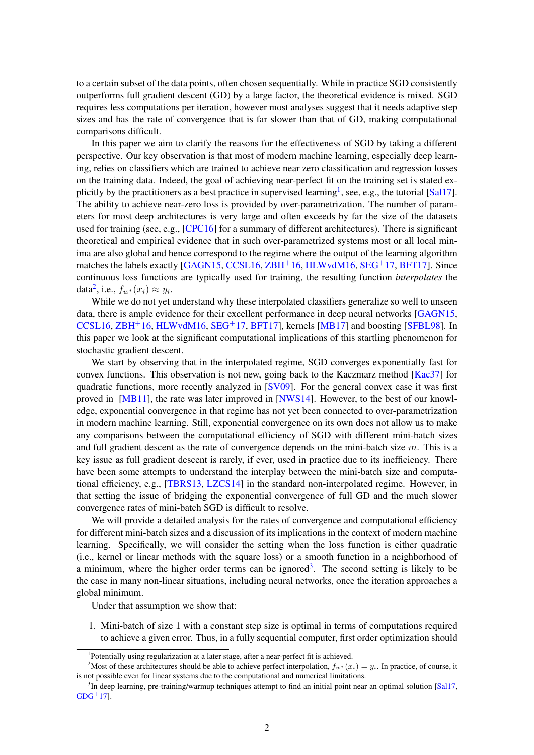to a certain subset of the data points, often chosen sequentially. While in practice SGD consistently outperforms full gradient descent (GD) by a large factor, the theoretical evidence is mixed. SGD requires less computations per iteration, however most analyses suggest that it needs adaptive step sizes and has the rate of convergence that is far slower than that of GD, making computational comparisons difficult.

In this paper we aim to clarify the reasons for the effectiveness of SGD by taking a different perspective. Our key observation is that most of modern machine learning, especially deep learning, relies on classifiers which are trained to achieve near zero classification and regression losses on the training data. Indeed, the goal of achieving near-perfect fit on the training set is stated ex-plicitly by the practitioners as a best practice in supervised learning<sup>[1](#page-1-0)</sup>, see, e.g., the tutorial [\[Sal17\]](#page-14-0). The ability to achieve near-zero loss is provided by over-parametrization. The number of parameters for most deep architectures is very large and often exceeds by far the size of the datasets used for training (see, e.g., [\[CPC16\]](#page-13-0) for a summary of different architectures). There is significant theoretical and empirical evidence that in such over-parametrized systems most or all local minima are also global and hence correspond to the regime where the output of the learning algorithm matches the labels exactly [\[GAGN15,](#page-13-1) [CCSL16,](#page-13-2) [ZBH](#page-14-1)<sup>+</sup>16, [HLWvdM16,](#page-13-3) [SEG](#page-14-2)<sup>+</sup>17, [BFT17\]](#page-13-4). Since continuous loss functions are typically used for training, the resulting function *interpolates* the data<sup>[2](#page-1-1)</sup>, i.e.,  $f_{w^*}(x_i) \approx y_i$ .

While we do not yet understand why these interpolated classifiers generalize so well to unseen data, there is ample evidence for their excellent performance in deep neural networks [\[GAGN15,](#page-13-1) [CCSL16,](#page-13-2) [ZBH](#page-14-1)+16, [HLWvdM16,](#page-13-3) [SEG](#page-14-2)+17, [BFT17\]](#page-13-4), kernels [\[MB17\]](#page-14-3) and boosting [\[SFBL98\]](#page-14-4). In this paper we look at the significant computational implications of this startling phenomenon for stochastic gradient descent.

We start by observing that in the interpolated regime, SGD converges exponentially fast for convex functions. This observation is not new, going back to the Kaczmarz method [\[Kac37\]](#page-13-5) for quadratic functions, more recently analyzed in [\[SV09\]](#page-14-5). For the general convex case it was first proved in [\[MB11\]](#page-14-6), the rate was later improved in [\[NWS14\]](#page-14-7). However, to the best of our knowledge, exponential convergence in that regime has not yet been connected to over-parametrization in modern machine learning. Still, exponential convergence on its own does not allow us to make any comparisons between the computational efficiency of SGD with different mini-batch sizes and full gradient descent as the rate of convergence depends on the mini-batch size  $m$ . This is a key issue as full gradient descent is rarely, if ever, used in practice due to its inefficiency. There have been some attempts to understand the interplay between the mini-batch size and computational efficiency, e.g., [\[TBRS13,](#page-14-8) [LZCS14\]](#page-13-6) in the standard non-interpolated regime. However, in that setting the issue of bridging the exponential convergence of full GD and the much slower convergence rates of mini-batch SGD is difficult to resolve.

We will provide a detailed analysis for the rates of convergence and computational efficiency for different mini-batch sizes and a discussion of its implications in the context of modern machine learning. Specifically, we will consider the setting when the loss function is either quadratic (i.e., kernel or linear methods with the square loss) or a smooth function in a neighborhood of a minimum, where the higher order terms can be ignored<sup>[3](#page-1-2)</sup>. The second setting is likely to be the case in many non-linear situations, including neural networks, once the iteration approaches a global minimum.

Under that assumption we show that:

1. Mini-batch of size 1 with a constant step size is optimal in terms of computations required to achieve a given error. Thus, in a fully sequential computer, first order optimization should

<span id="page-1-1"></span><span id="page-1-0"></span><sup>&</sup>lt;sup>1</sup>Potentially using regularization at a later stage, after a near-perfect fit is achieved.

<sup>&</sup>lt;sup>2</sup>Most of these architectures should be able to achieve perfect interpolation,  $f_w*(x_i) = y_i$ . In practice, of course, it is not possible even for linear systems due to the computational and numerical limitations.

<span id="page-1-2"></span><sup>&</sup>lt;sup>3</sup>In deep learning, pre-training/warmup techniques attempt to find an initial point near an optimal solution [\[Sal17,](#page-14-0)  $GDG+17$  $GDG+17$ ].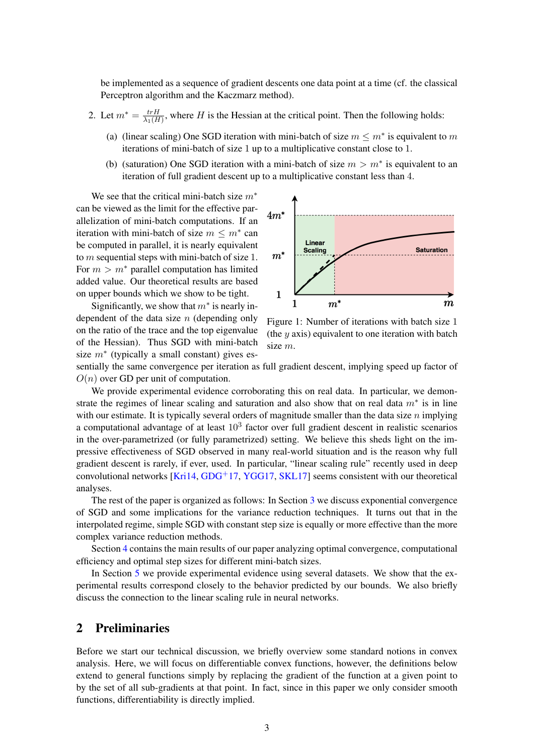be implemented as a sequence of gradient descents one data point at a time (cf. the classical Perceptron algorithm and the Kaczmarz method).

- 2. Let  $m^* = \frac{trH}{\lambda_1 (H)}$  $\frac{trH}{\lambda_1(H)}$ , where H is the Hessian at the critical point. Then the following holds:
	- (a) (linear scaling) One SGD iteration with mini-batch of size  $m \le m^*$  is equivalent to m iterations of mini-batch of size 1 up to a multiplicative constant close to 1.
	- (b) (saturation) One SGD iteration with a mini-batch of size  $m > m^*$  is equivalent to an iteration of full gradient descent up to a multiplicative constant less than 4.

We see that the critical mini-batch size  $m^*$ can be viewed as the limit for the effective parallelization of mini-batch computations. If an iteration with mini-batch of size  $m \leq m^*$  can be computed in parallel, it is nearly equivalent to m sequential steps with mini-batch of size 1. For  $m > m^*$  parallel computation has limited added value. Our theoretical results are based on upper bounds which we show to be tight.

Significantly, we show that  $m^*$  is nearly independent of the data size  $n$  (depending only on the ratio of the trace and the top eigenvalue of the Hessian). Thus SGD with mini-batch size  $m^*$  (typically a small constant) gives es-



Figure 1: Number of iterations with batch size 1 (the  $y$  axis) equivalent to one iteration with batch size m.

sentially the same convergence per iteration as full gradient descent, implying speed up factor of  $O(n)$  over GD per unit of computation.

We provide experimental evidence corroborating this on real data. In particular, we demonstrate the regimes of linear scaling and saturation and also show that on real data  $m^*$  is in line with our estimate. It is typically several orders of magnitude smaller than the data size  $n$  implying a computational advantage of at least  $10<sup>3</sup>$  factor over full gradient descent in realistic scenarios in the over-parametrized (or fully parametrized) setting. We believe this sheds light on the impressive effectiveness of SGD observed in many real-world situation and is the reason why full gradient descent is rarely, if ever, used. In particular, "linear scaling rule" recently used in deep convolutional networks  $[Kri14, GDG<sup>+</sup>17, YGG17, SKL17]$  $[Kri14, GDG<sup>+</sup>17, YGG17, SKL17]$  $[Kri14, GDG<sup>+</sup>17, YGG17, SKL17]$  $[Kri14, GDG<sup>+</sup>17, YGG17, SKL17]$  $[Kri14, GDG<sup>+</sup>17, YGG17, SKL17]$  $[Kri14, GDG<sup>+</sup>17, YGG17, SKL17]$  $[Kri14, GDG<sup>+</sup>17, YGG17, SKL17]$  seems consistent with our theoretical analyses.

The rest of the paper is organized as follows: In Section [3](#page-3-0) we discuss exponential convergence of SGD and some implications for the variance reduction techniques. It turns out that in the interpolated regime, simple SGD with constant step size is equally or more effective than the more complex variance reduction methods.

Section [4](#page-4-0) contains the main results of our paper analyzing optimal convergence, computational efficiency and optimal step sizes for different mini-batch sizes.

In Section [5](#page-11-0) we provide experimental evidence using several datasets. We show that the experimental results correspond closely to the behavior predicted by our bounds. We also briefly discuss the connection to the linear scaling rule in neural networks.

## 2 Preliminaries

Before we start our technical discussion, we briefly overview some standard notions in convex analysis. Here, we will focus on differentiable convex functions, however, the definitions below extend to general functions simply by replacing the gradient of the function at a given point to by the set of all sub-gradients at that point. In fact, since in this paper we only consider smooth functions, differentiability is directly implied.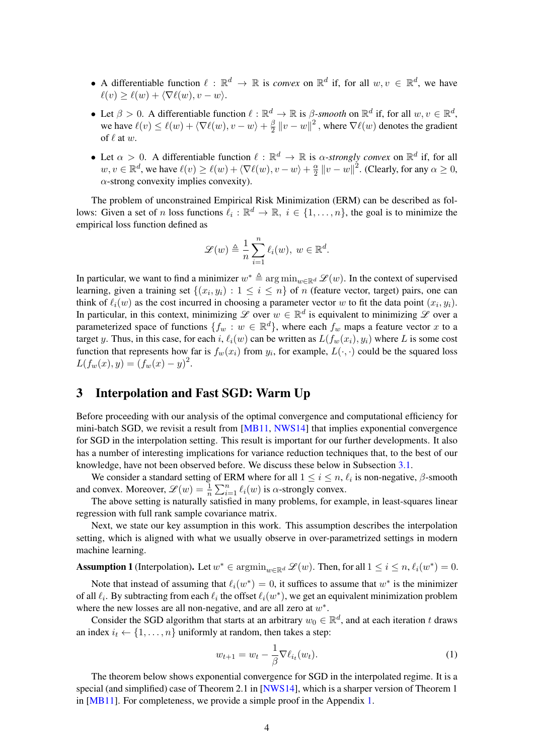- A differentiable function  $\ell : \mathbb{R}^d \to \mathbb{R}$  is *convex* on  $\mathbb{R}^d$  if, for all  $w, v \in \mathbb{R}^d$ , we have  $\ell(v) > \ell(w) + \langle \nabla \ell(w), v - w \rangle$ .
- Let  $\beta > 0$ . A differentiable function  $\ell : \mathbb{R}^d \to \mathbb{R}$  is  $\beta$ -smooth on  $\mathbb{R}^d$  if, for all  $w, v \in \mathbb{R}^d$ , we have  $\ell(v) \leq \ell(w) + \langle \nabla \ell(w), v - w \rangle + \frac{\beta}{2}$  $\frac{\beta}{2} \left\| v - w \right\|^2$  , where  $\nabla \ell(w)$  denotes the gradient of  $\ell$  at  $w$ .
- Let  $\alpha > 0$ . A differentiable function  $\ell : \mathbb{R}^d \to \mathbb{R}$  is  $\alpha$ -strongly convex on  $\mathbb{R}^d$  if, for all  $w, v \in \mathbb{R}^d$ , we have  $\ell(v) \ge \ell(w) + \langle \nabla \ell(w), v - w \rangle + \frac{\alpha}{2}$  $\frac{\alpha}{2} ||v - w||^2$ . (Clearly, for any  $\alpha \ge 0$ ,  $\alpha$ -strong convexity implies convexity).

The problem of unconstrained Empirical Risk Minimization (ERM) can be described as follows: Given a set of n loss functions  $\ell_i : \mathbb{R}^d \to \mathbb{R}, i \in \{1, ..., n\}$ , the goal is to minimize the empirical loss function defined as

$$
\mathscr{L}(w) \triangleq \frac{1}{n} \sum_{i=1}^{n} \ell_i(w), \ w \in \mathbb{R}^d.
$$

In particular, we want to find a minimizer  $w^* \triangleq \arg \min_{w \in \mathbb{R}^d} \mathcal{L}(w)$ . In the context of supervised learning, given a training set  $\{(x_i, y_i) : 1 \le i \le n\}$  of n (feature vector, target) pairs, one can think of  $\ell_i(w)$  as the cost incurred in choosing a parameter vector w to fit the data point  $(x_i, y_i)$ . In particular, in this context, minimizing  $\mathscr L$  over  $w \in \mathbb R^d$  is equivalent to minimizing  $\mathscr L$  over a parameterized space of functions  $\{f_w : w \in \mathbb{R}^d\}$ , where each  $f_w$  maps a feature vector x to a target y. Thus, in this case, for each i,  $\ell_i(w)$  can be written as  $L(f_w(x_i), y_i)$  where L is some cost function that represents how far is  $f_w(x_i)$  from  $y_i$ , for example,  $L(\cdot, \cdot)$  could be the squared loss  $L(f_w(x), y) = (f_w(x) - y)^2.$ 

## <span id="page-3-0"></span>3 Interpolation and Fast SGD: Warm Up

Before proceeding with our analysis of the optimal convergence and computational efficiency for mini-batch SGD, we revisit a result from [\[MB11,](#page-14-6) [NWS14\]](#page-14-7) that implies exponential convergence for SGD in the interpolation setting. This result is important for our further developments. It also has a number of interesting implications for variance reduction techniques that, to the best of our knowledge, have not been observed before. We discuss these below in Subsection [3.1.](#page-4-1)

We consider a standard setting of ERM where for all  $1 \le i \le n$ ,  $\ell_i$  is non-negative,  $\beta$ -smooth and convex. Moreover,  $\mathscr{L}(w) = \frac{1}{n} \sum_{i=1}^{n} \ell_i(w)$  is  $\alpha$ -strongly convex.

The above setting is naturally satisfied in many problems, for example, in least-squares linear regression with full rank sample covariance matrix.

Next, we state our key assumption in this work. This assumption describes the interpolation setting, which is aligned with what we usually observe in over-parametrized settings in modern machine learning.

<span id="page-3-1"></span>**Assumption 1** (Interpolation). Let  $w^* \in \operatorname{argmin}_{w \in \mathbb{R}^d} \mathcal{L}(w)$ . Then, for all  $1 \le i \le n$ ,  $\ell_i(w^*) = 0$ .

Note that instead of assuming that  $\ell_i(w^*) = 0$ , it suffices to assume that  $w^*$  is the minimizer of all  $\ell_i$ . By subtracting from each  $\ell_i$  the offset  $\ell_i(w^*)$ , we get an equivalent minimization problem where the new losses are all non-negative, and are all zero at  $w^*$ .

Consider the SGD algorithm that starts at an arbitrary  $w_0 \in \mathbb{R}^d$ , and at each iteration t draws an index  $i_t \leftarrow \{1, \ldots, n\}$  uniformly at random, then takes a step:

<span id="page-3-2"></span>
$$
w_{t+1} = w_t - \frac{1}{\beta} \nabla \ell_{i_t}(w_t).
$$
 (1)

The theorem below shows exponential convergence for SGD in the interpolated regime. It is a special (and simplified) case of Theorem 2.1 in [\[NWS14\]](#page-14-7), which is a sharper version of Theorem 1 in [\[MB11\]](#page-14-6). For completeness, we provide a simple proof in the Appendix [1.](#page-4-2)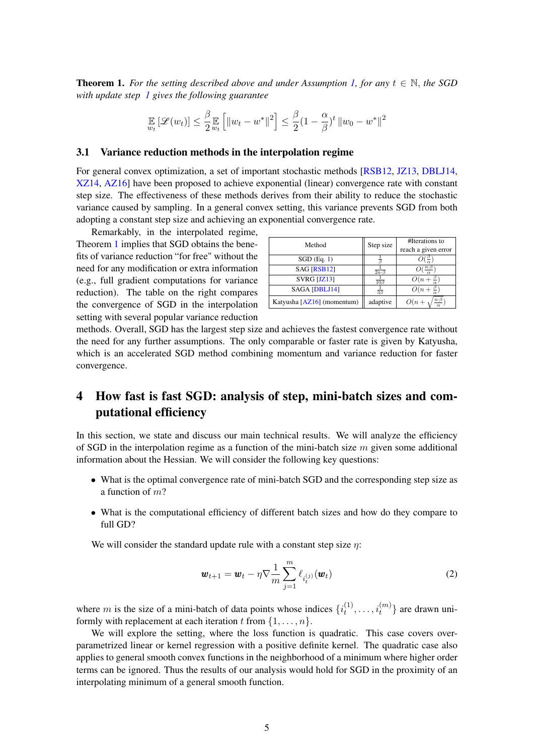<span id="page-4-2"></span>**Theorem 1.** For the setting described above and under Assumption [1,](#page-3-1) for any  $t \in \mathbb{N}$ , the SGD *with update step [1](#page-3-2) gives the following guarantee*

$$
\mathop{\mathbb{E}}_{w_t} \left[ \mathcal{L}(w_t) \right] \leq \frac{\beta}{2} \mathop{\mathbb{E}}_{w_t} \left[ \| w_t - w^* \|^2 \right] \leq \frac{\beta}{2} (1 - \frac{\alpha}{\beta})^t \, \| w_0 - w^* \|^2
$$

### <span id="page-4-1"></span>3.1 Variance reduction methods in the interpolation regime

For general convex optimization, a set of important stochastic methods [\[RSB12,](#page-14-11) [JZ13,](#page-13-9) [DBLJ14,](#page-13-10) [XZ14,](#page-14-12) [AZ16\]](#page-13-11) have been proposed to achieve exponential (linear) convergence rate with constant step size. The effectiveness of these methods derives from their ability to reduce the stochastic variance caused by sampling. In a general convex setting, this variance prevents SGD from both adopting a constant step size and achieving an exponential convergence rate.

Remarkably, in the interpolated regime, Theorem [1](#page-4-2) implies that SGD obtains the benefits of variance reduction "for free" without the need for any modification or extra information (e.g., full gradient computations for variance reduction). The table on the right compares the convergence of SGD in the interpolation setting with several popular variance reduction

| Method                     | Step size                  | #Iterations to             |
|----------------------------|----------------------------|----------------------------|
|                            |                            | reach a given error        |
| $SGD$ (Eq. 1)              |                            |                            |
| SAG [RSB12]                | $2n \cdot \beta$           | $\frac{n\cdot p}{2}$       |
| SVRG [JZ13]                | $\overline{10\beta}$       | $O(n+\frac{\beta}{a})$     |
| SAGA [DBLJ14]              | $\overline{3}\overline{3}$ | $O(n+\frac{p}{\alpha})$    |
| Katyusha [AZ16] (momentum) | adaptive                   | $n \cdot \beta$<br>$O(n +$ |

methods. Overall, SGD has the largest step size and achieves the fastest convergence rate without the need for any further assumptions. The only comparable or faster rate is given by Katyusha, which is an accelerated SGD method combining momentum and variance reduction for faster convergence.

## <span id="page-4-0"></span>4 How fast is fast SGD: analysis of step, mini-batch sizes and computational efficiency

In this section, we state and discuss our main technical results. We will analyze the efficiency of SGD in the interpolation regime as a function of the mini-batch size  $m$  given some additional information about the Hessian. We will consider the following key questions:

- What is the optimal convergence rate of mini-batch SGD and the corresponding step size as a function of m?
- What is the computational efficiency of different batch sizes and how do they compare to full GD?

We will consider the standard update rule with a constant step size  $\eta$ :

$$
\boldsymbol{w}_{t+1} = \boldsymbol{w}_t - \eta \nabla \frac{1}{m} \sum_{j=1}^m \ell_{i_t^{(j)}}(\boldsymbol{w}_t)
$$
\n(2)

where m is the size of a mini-batch of data points whose indices  $\{i_t^{(1)}\}$  $\{i_1^{(1)}, \ldots, i_t^{(m)}\}$  are drawn uniformly with replacement at each iteration t from  $\{1, \ldots, n\}$ .

We will explore the setting, where the loss function is quadratic. This case covers overparametrized linear or kernel regression with a positive definite kernel. The quadratic case also applies to general smooth convex functions in the neighborhood of a minimum where higher order terms can be ignored. Thus the results of our analysis would hold for SGD in the proximity of an interpolating minimum of a general smooth function.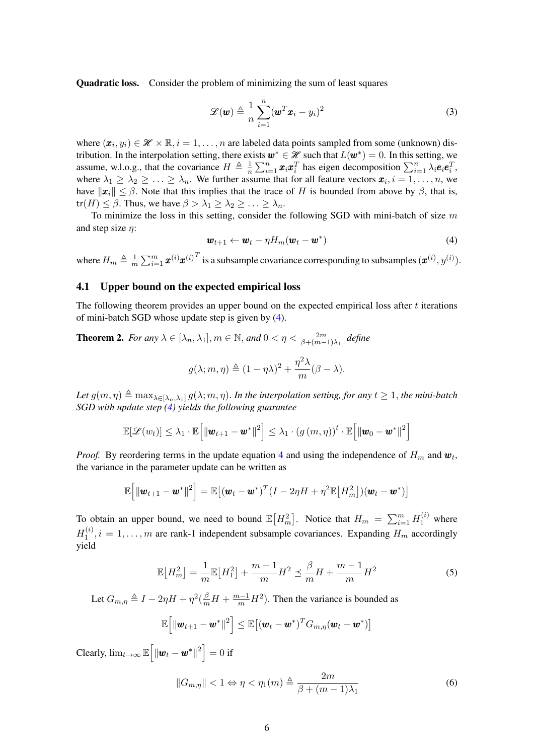Quadratic loss. Consider the problem of minimizing the sum of least squares

<span id="page-5-2"></span>
$$
\mathcal{L}(\boldsymbol{w}) \triangleq \frac{1}{n} \sum_{i=1}^{n} (\boldsymbol{w}^T \boldsymbol{x}_i - y_i)^2
$$
 (3)

where  $(\mathbf{x}_i, y_i) \in \mathcal{H} \times \mathbb{R}, i = 1, \dots, n$  are labeled data points sampled from some (unknown) distribution. In the interpolation setting, there exists  $w^* \in \mathcal{H}$  such that  $L(w^*) = 0$ . In this setting, we assume, w.l.o.g., that the covariance  $H \triangleq \frac{1}{n}$  $\frac{1}{n} \sum_{i=1}^{n} x_i x_i^T$  has eigen decomposition  $\sum_{i=1}^{n} \lambda_i e_i e_i^T$ , where  $\lambda_1 \geq \lambda_2 \geq \ldots \geq \lambda_n$ . We further assume that for all feature vectors  $\mathbf{x}_i, i = 1, \ldots, n$ , we have  $\|\mathbf{x}_i\| \leq \beta$ . Note that this implies that the trace of H is bounded from above by  $\beta$ , that is,  $tr(H) \leq \beta$ . Thus, we have  $\beta > \lambda_1 \geq \lambda_2 \geq \ldots \geq \lambda_n$ .

To minimize the loss in this setting, consider the following SGD with mini-batch of size  $m$ and step size  $\eta$ :

<span id="page-5-0"></span>
$$
\boldsymbol{w}_{t+1} \leftarrow \boldsymbol{w}_t - \eta H_m(\boldsymbol{w}_t - \boldsymbol{w}^*)
$$
 (4)

where  $H_m \triangleq \frac{1}{m}$  $\frac{1}{m}\sum_{i=1}^m \bm{x}^{(i)} {\bm{x}^{(i)}}^T$  is a subsample covariance corresponding to subsamples  $(\bm{x}^{(i)}, y^{(i)})$ .

### 4.1 Upper bound on the expected empirical loss

The following theorem provides an upper bound on the expected empirical loss after  $t$  iterations of mini-batch SGD whose update step is given by [\(4\)](#page-5-0).

<span id="page-5-3"></span>**Theorem 2.** For any  $\lambda \in [\lambda_n, \lambda_1], m \in \mathbb{N}$ , and  $0 < \eta < \frac{2m}{\beta + (m-1)\lambda_1}$  define  $g(\lambda; m, \eta) \triangleq (1 - \eta \lambda)^2 + \frac{\eta^2 \lambda}{\eta}$  $\frac{n}{m}(\beta-\lambda).$ 

Let 
$$
g(m, \eta) \triangleq \max_{\lambda \in [\lambda_n, \lambda_1]} g(\lambda; m, \eta)
$$
. In the interpolation setting, for any  $t \geq 1$ , the mini-batch SGD with update step (4) yields the following guarantee

<span id="page-5-4"></span>
$$
\mathbb{E}[\mathscr{L}(w_t)] \leq \lambda_1 \cdot \mathbb{E}\Big[\|\boldsymbol{w}_{t+1} - \boldsymbol{w}^*\|^2\Big] \leq \lambda_1 \cdot \left(g\left(m,\eta\right)\right)^t \cdot \mathbb{E}\Big[\|\boldsymbol{w}_0 - \boldsymbol{w}^*\|^2\Big]
$$

*Proof.* By reordering terms in the update equation [4](#page-5-0) and using the independence of  $H_m$  and  $w_t$ , the variance in the parameter update can be written as

$$
\mathbb{E}\Big[\|\boldsymbol{w}_{t+1}-\boldsymbol{w}^*\|^2\Big] = \mathbb{E}\big[(\boldsymbol{w}_t-\boldsymbol{w}^*)^T(I-2\eta H+\eta^2\mathbb{E}\big[H_m^2\big])(\boldsymbol{w}_t-\boldsymbol{w}^*)\big]
$$

To obtain an upper bound, we need to bound  $\mathbb{E}\left[H_m^2\right]$ . Notice that  $H_m = \sum_{i=1}^m H_1^{(i)}$  where  $H_1^{(i)}$  $\mathbf{I}_{1}^{(i)}$ ,  $i = 1, \ldots, m$  are rank-1 independent subsample covariances. Expanding  $H_m$  accordingly yield

$$
\mathbb{E}[H_m^2] = \frac{1}{m} \mathbb{E}[H_1^2] + \frac{m-1}{m} H^2 \le \frac{\beta}{m} H + \frac{m-1}{m} H^2 \tag{5}
$$

Let  $G_{m,\eta} \triangleq I - 2\eta H + \eta^2(\frac{\beta}{m}H + \frac{m-1}{m}H^2)$ . Then the variance is bounded as

$$
\mathbb{E}\left[\left\|\boldsymbol{w}_{t+1}-\boldsymbol{w}^{*}\right\|^{2}\right] \leq \mathbb{E}\left[\left(\boldsymbol{w}_{t}-\boldsymbol{w}^{*}\right)^{T} \boldsymbol{G}_{m,\eta}(\boldsymbol{w}_{t}-\boldsymbol{w}^{*})\right]
$$

Clearly,  $\lim_{t\to\infty} \mathbb{E} \Big[ \|\boldsymbol{w}_t - \boldsymbol{w}^*\|^2 \Big] = 0$  if

<span id="page-5-1"></span>
$$
||G_{m,\eta}|| < 1 \Leftrightarrow \eta < \eta_1(m) \triangleq \frac{2m}{\beta + (m-1)\lambda_1}
$$
 (6)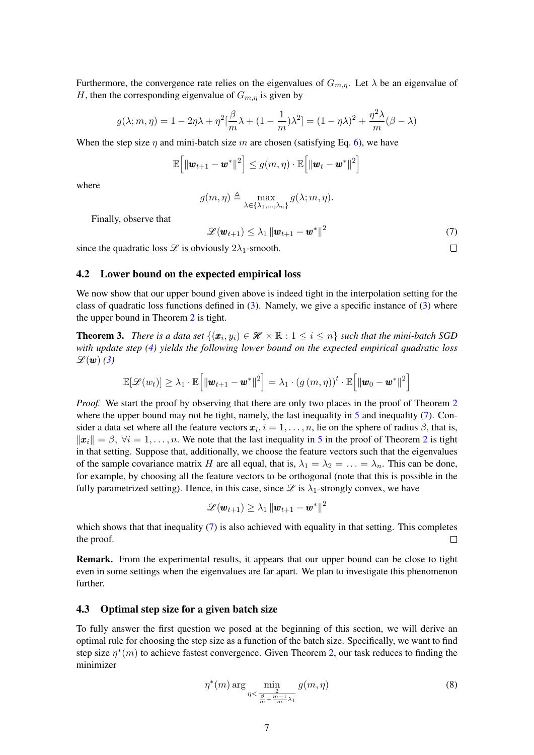Furthermore, the convergence rate relies on the eigenvalues of  $G_{m,\eta}$ . Let  $\lambda$  be an eigenvalue of H, then the corresponding eigenvalue of  $G_{m,n}$  is given by

$$
g(\lambda; m, \eta) = 1 - 2\eta\lambda + \eta^2 \left[\frac{\beta}{m}\lambda + (1 - \frac{1}{m})\lambda^2\right] = (1 - \eta\lambda)^2 + \frac{\eta^2\lambda}{m}(\beta - \lambda)
$$

When the step size  $\eta$  and mini-batch size m are chosen (satisfying Eq. [6\)](#page-5-1), we have

<span id="page-6-0"></span>
$$
\mathbb{E}\left[\left\Vert \bm{w}_{t+1}-\bm{w}^{*}\right\Vert ^{2}\right]\leq g(m,\eta)\cdot\mathbb{E}\left[\left\Vert \bm{w}_{t}-\bm{w}^{*}\right\Vert ^{2}\right]
$$

where

$$
g(m, \eta) \triangleq \max_{\lambda \in {\{\lambda_1, ..., \lambda_n\}}} g(\lambda; m, \eta).
$$

Finally, observe that

$$
\mathscr{L}(\boldsymbol{w}_{t+1}) \leq \lambda_1 \left\| \boldsymbol{w}_{t+1} - \boldsymbol{w}^* \right\|^2 \tag{7}
$$

since the quadratic loss  $\mathscr L$  is obviously  $2\lambda_1$ -smooth.

### 4.2 Lower bound on the expected empirical loss

We now show that our upper bound given above is indeed tight in the interpolation setting for the class of quadratic loss functions defined in [\(3\)](#page-5-2). Namely, we give a specific instance of [\(3\)](#page-5-2) where the upper bound in Theorem [2](#page-5-3) is tight.

**Theorem 3.** *There is a data set*  $\{(\bm{x}_i, y_i) \in \mathcal{H} \times \mathbb{R} : 1 \leq i \leq n\}$  *such that the mini-batch SGD with update step [\(4\)](#page-5-0) yields the following lower bound on the expected empirical quadratic loss*  $\mathscr{L}(\boldsymbol{w})$  [\(3\)](#page-5-2)

$$
\mathbb{E}[\mathscr{L}(w_t)] \geq \lambda_1 \cdot \mathbb{E}\Big[\|\boldsymbol{w}_{t+1} - \boldsymbol{w}^*\|^2\Big] = \lambda_1 \cdot \left(g\left(m,\eta\right)\right)^t \cdot \mathbb{E}\Big[\|\boldsymbol{w}_0 - \boldsymbol{w}^*\|^2\Big]
$$

*Proof.* We start the proof by observing that there are only two places in the proof of Theorem [2](#page-5-3) where the upper bound may not be tight, namely, the last inequality in  $5$  and inequality [\(7\)](#page-6-0). Consider a data set where all the feature vectors  $\mathbf{x}_i$ ,  $i = 1, \ldots, n$ , lie on the sphere of radius  $\beta$ , that is,  $\|\mathbf{x}_i\| = \beta, \forall i = 1, \dots, n.$  We note that the last inequality in [5](#page-5-4) in the proof of Theorem [2](#page-5-3) is tight in that setting. Suppose that, additionally, we choose the feature vectors such that the eigenvalues of the sample covariance matrix H are all equal, that is,  $\lambda_1 = \lambda_2 = \ldots = \lambda_n$ . This can be done, for example, by choosing all the feature vectors to be orthogonal (note that this is possible in the fully parametrized setting). Hence, in this case, since  $\mathscr{L}$  is  $\lambda_1$ -strongly convex, we have

<span id="page-6-1"></span>
$$
\mathscr{L}(\boldsymbol{w}_{t+1}) \geq \lambda_1 \left\| \boldsymbol{w}_{t+1} - \boldsymbol{w}^{*} \right\|^{2}
$$

which shows that that inequality  $(7)$  is also achieved with equality in that setting. This completes the proof.  $\Box$ 

**Remark.** From the experimental results, it appears that our upper bound can be close to tight even in some settings when the eigenvalues are far apart. We plan to investigate this phenomenon further.

### 4.3 Optimal step size for a given batch size

To fully answer the first question we posed at the beginning of this section, we will derive an optimal rule for choosing the step size as a function of the batch size. Specifically, we want to find step size  $\eta^*(m)$  to achieve fastest convergence. Given Theorem [2,](#page-5-3) our task reduces to finding the minimizer

$$
\eta^*(m) \arg \min_{\eta < \frac{\beta}{\frac{\beta}{m} + \frac{m-1}{m}\lambda_1}} g(m, \eta) \tag{8}
$$

 $\Box$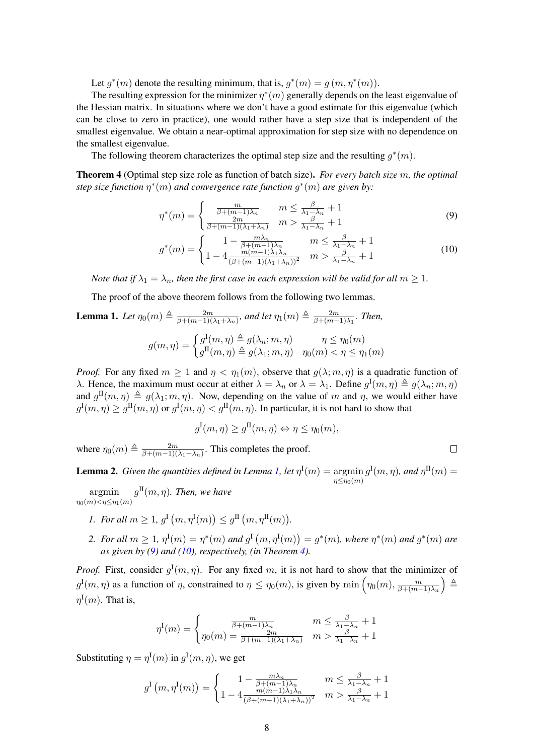Let  $g^*(m)$  denote the resulting minimum, that is,  $g^*(m) = g(m, \eta^*(m))$ .

The resulting expression for the minimizer  $\eta^*(m)$  generally depends on the least eigenvalue of the Hessian matrix. In situations where we don't have a good estimate for this eigenvalue (which can be close to zero in practice), one would rather have a step size that is independent of the smallest eigenvalue. We obtain a near-optimal approximation for step size with no dependence on the smallest eigenvalue.

The following theorem characterizes the optimal step size and the resulting  $g^*(m)$ .

<span id="page-7-3"></span>Theorem 4 (Optimal step size role as function of batch size). *For every batch size* m*, the optimal step size function* η ∗ (m) *and convergence rate function* g ∗ (m) *are given by:*

$$
\eta^*(m) = \begin{cases} \frac{m}{\beta + (m-1)\lambda_n} & m \le \frac{\beta}{\lambda_1 - \lambda_n} + 1\\ \frac{2m}{\beta + (m-1)(\lambda_1 + \lambda_n)} & m > \frac{\beta}{\lambda_1 - \lambda_n} + 1 \end{cases}
$$
(9)

$$
g^*(m) = \begin{cases} 1 - \frac{m\lambda_n}{\beta + (m-1)\lambda_n} & m \le \frac{\beta}{\lambda_1 - \lambda_n} + 1 \\ 1 - 4 \frac{m(m-1)\lambda_1\lambda_n}{(\beta + (m-1)(\lambda_1 + \lambda_n))^2} & m > \frac{\beta}{\lambda_1 - \lambda_n} + 1 \end{cases}
$$
(10)

<span id="page-7-2"></span><span id="page-7-1"></span> $\Box$ 

*Note that if*  $\lambda_1 = \lambda_n$ *, then the first case in each expression will be valid for all*  $m \geq 1$ *.* 

The proof of the above theorem follows from the following two lemmas.

#### <span id="page-7-0"></span>**Lemma 1.** Let  $\eta_0(m) \triangleq \frac{2m}{\beta + (m-1)!}$  $\frac{2m}{\beta + (m-1)(\lambda_1 + \lambda_n)}$ , and let  $\eta_1(m) \triangleq \frac{2m}{\beta + (m-1)(\lambda_1 + \lambda_n)}$  $\frac{2m}{\beta + (m-1)\lambda_1}$ *. Then,*

$$
g(m,\eta) = \begin{cases} g^{\mathrm{I}}(m,\eta) \triangleq g(\lambda_n; m, \eta) & \eta \leq \eta_0(m) \\ g^{\mathrm{II}}(m,\eta) \triangleq g(\lambda_1; m, \eta) & \eta_0(m) < \eta \leq \eta_1(m) \end{cases}
$$

*Proof.* For any fixed  $m \ge 1$  and  $\eta < \eta_1(m)$ , observe that  $g(\lambda; m, \eta)$  is a quadratic function of λ. Hence, the maximum must occur at either  $\lambda = \lambda_n$  or  $\lambda = \lambda_1$ . Define  $g^{\rm I}(m, \eta) \triangleq g(\lambda_n; m, \eta)$ and  $g^{\text{II}}(m, \eta) \triangleq g(\lambda_1; m, \eta)$ . Now, depending on the value of m and  $\eta$ , we would either have  $g^{\rm I}(m,\eta) \ge g^{\rm II}(m,\eta)$  or  $g^{\rm I}(m,\eta) < g^{\rm II}(m,\eta)$ . In particular, it is not hard to show that

$$
g^{\mathrm{I}}(m,\eta) \ge g^{\mathrm{II}}(m,\eta) \Leftrightarrow \eta \le \eta_0(m),
$$

where  $\eta_0(m) \triangleq \frac{2m}{\beta + (m-1)!}$  $\frac{2m}{\beta + (m-1)(\lambda_1 + \lambda_n)}$ . This completes the proof.

<span id="page-7-4"></span>**Lemma 2.** *Given the quantities defined in Lemma [1,](#page-7-0) let*  $\eta^{\text{I}}(m) = \argmin g^{\text{I}}(m, \eta)$ *, and*  $\eta^{\text{II}}(m) =$  $\eta \leq \eta_0(m)$ 

argmin  $\eta_0(m) < \eta \leq \eta_1(m)$  $g^{\text{II}}(m,\eta)$ *. Then, we have* 

- *1. For all*  $m \geq 1$ ,  $g^{\text{I}}(m, \eta^{\text{I}}(m)) \leq g^{\text{II}}(m, \eta^{\text{II}}(m))$ .
- 2. For all  $m \ge 1$ ,  $\eta^{I}(m) = \eta^{*}(m)$  and  $g^{I}(m, \eta^{I}(m)) = g^{*}(m)$ , where  $\eta^{*}(m)$  and  $g^{*}(m)$  are *as given by [\(9\)](#page-7-1) and [\(10\)](#page-7-2), respectively, (in Theorem [4\)](#page-7-3).*

*Proof.* First, consider  $g^{\text{I}}(m, \eta)$ . For any fixed m, it is not hard to show that the minimizer of  $g^{\text{I}}(m,\eta)$  as a function of  $\eta$ , constrained to  $\eta \leq \eta_0(m)$ , is given by  $\min \left( \eta_0(m), \frac{m}{\beta + (m-\eta_0)} \right)$  $\beta+(m-1)\lambda_n$  $\Delta \triangleq$  $\eta^{\rm I}(m)$ . That is,

$$
\eta^{I}(m) = \begin{cases} \frac{m}{\beta + (m-1)\lambda_n} & m \le \frac{\beta}{\lambda_1 - \lambda_n} + 1\\ \eta_0(m) = \frac{2m}{\beta + (m-1)(\lambda_1 + \lambda_n)} & m > \frac{\beta}{\lambda_1 - \lambda_n} + 1 \end{cases}
$$

Substituting  $\eta = \eta^{\text{I}}(m)$  in  $g^{\text{I}}(m, \eta)$ , we get

$$
g^{I}(m,\eta^{I}(m)) = \begin{cases} 1 - \frac{m\lambda_{n}}{\beta + (m-1)\lambda_{n}} & m \leq \frac{\beta}{\lambda_{1} - \lambda_{n}} + 1\\ 1 - 4\frac{m(m-1)\lambda_{1}\lambda_{n}}{(\beta + (m-1)(\lambda_{1} + \lambda_{n}))^{2}} & m > \frac{\beta}{\lambda_{1} - \lambda_{n}} + 1 \end{cases}
$$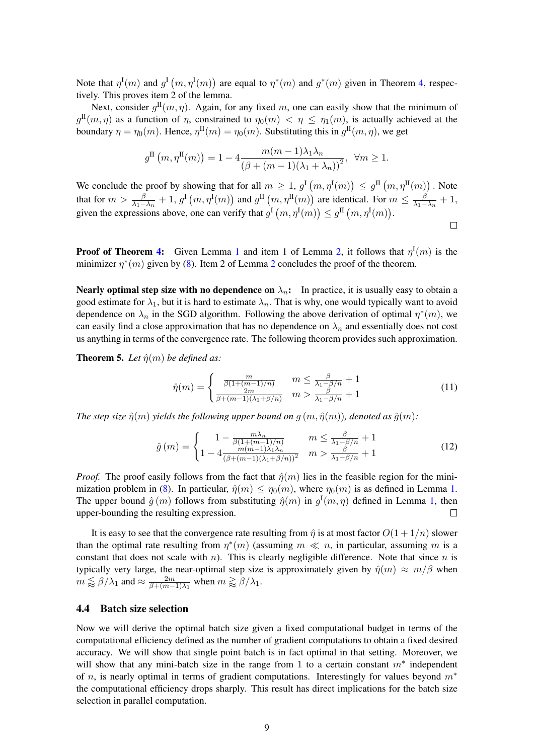Note that  $\eta^{\text{I}}(m)$  and  $g^{\text{I}}(m, \eta^{\text{I}}(m))$  are equal to  $\eta^*(m)$  and  $g^*(m)$  given in Theorem [4,](#page-7-3) respectively. This proves item 2 of the lemma.

Next, consider  $g^{\text{II}}(m, \eta)$ . Again, for any fixed m, one can easily show that the minimum of  $g^{\text{II}}(m,\eta)$  as a function of  $\eta$ , constrained to  $\eta_0(m) < \eta \leq \eta_1(m)$ , is actually achieved at the boundary  $\eta = \eta_0(m)$ . Hence,  $\eta^{\text{II}}(m) = \eta_0(m)$ . Substituting this in  $g^{\text{II}}(m, \eta)$ , we get

$$
g^{\text{II}}\left(m,\eta^{\text{II}}(m)\right) = 1 - 4 \frac{m(m-1)\lambda_1\lambda_n}{\left(\beta + (m-1)(\lambda_1 + \lambda_n)\right)^2}, \ \ \forall m \ge 1.
$$

We conclude the proof by showing that for all  $m \geq 1$ ,  $g^{\text{I}}(m, \eta^{\text{I}}(m)) \leq g^{\text{II}}(m, \eta^{\text{II}}(m))$ . Note that for  $m > \frac{\beta}{\lambda_1 - \lambda_n} + 1$ ,  $g^{\text{I}}(m, \eta^{\text{I}}(m))$  and  $g^{\text{II}}(m, \eta^{\text{II}}(m))$  are identical. For  $m \le \frac{\beta}{\lambda_1 - \lambda_n}$  $\frac{\beta}{\lambda_1-\lambda_n}+1,$ given the expressions above, one can verify that  $g^{\text{I}}(m, \eta^{\text{I}}(m)) \leq g^{\text{II}}(m, \eta^{\text{I}}(m))$ .  $\Box$ 

**Proof of Theorem [4:](#page-7-3)** Given Lemma [1](#page-7-0) and item 1 of Lemma [2,](#page-7-4) it follows that  $\eta^{\text{I}}(m)$  is the minimizer  $\eta^*(m)$  given by [\(8\)](#page-6-1). Item [2](#page-7-4) of Lemma 2 concludes the proof of the theorem.

Nearly optimal step size with no dependence on  $\lambda_n$ : In practice, it is usually easy to obtain a good estimate for  $\lambda_1$ , but it is hard to estimate  $\lambda_n$ . That is why, one would typically want to avoid dependence on  $\lambda_n$  in the SGD algorithm. Following the above derivation of optimal  $\eta^*(m)$ , we can easily find a close approximation that has no dependence on  $\lambda_n$  and essentially does not cost us anything in terms of the convergence rate. The following theorem provides such approximation.

**Theorem 5.** Let  $\hat{\eta}(m)$  be defined as:

<span id="page-8-0"></span>
$$
\hat{\eta}(m) = \begin{cases} \frac{m}{\beta(1 + (m-1)/n)} & m \le \frac{\beta}{\lambda_1 - \beta/n} + 1\\ \frac{2m}{\beta + (m-1)(\lambda_1 + \beta/n)} & m > \frac{\beta}{\lambda_1 - \beta/n} + 1 \end{cases} \tag{11}
$$

*The step size*  $\hat{\eta}(m)$  *yields the following upper bound on*  $g(m, \hat{\eta}(m))$ *, denoted as*  $\hat{g}(m)$ *:* 

$$
\hat{g}(m) = \begin{cases}\n1 - \frac{m\lambda_n}{\beta(1 + (m-1)/n)} & m \le \frac{\beta}{\lambda_1 - \beta/n} + 1 \\
1 - 4 \frac{m(m-1)\lambda_1\lambda_n}{(\beta + (m-1)(\lambda_1 + \beta/n))^2} & m > \frac{\beta}{\lambda_1 - \beta/n} + 1\n\end{cases}
$$
\n(12)

*Proof.* The proof easily follows from the fact that  $\hat{\eta}(m)$  lies in the feasible region for the mini-mization problem in [\(8\)](#page-6-1). In particular,  $\hat{\eta}(m) \leq \eta_0(m)$ , where  $\eta_0(m)$  is as defined in Lemma [1.](#page-7-0) The upper bound  $\hat{g}(m)$  follows from substituting  $\hat{\eta}(m)$  in  $g^{I}(m,\eta)$  defined in Lemma [1,](#page-7-0) then upper-bounding the resulting expression.

It is easy to see that the convergence rate resulting from  $\hat{\eta}$  is at most factor  $O(1 + 1/n)$  slower than the optimal rate resulting from  $\eta^*(m)$  (assuming  $m \ll n$ , in particular, assuming m is a constant that does not scale with n). This is clearly negligible difference. Note that since n is typically very large, the near-optimal step size is approximately given by  $\hat{\eta}(m) \approx m/\beta$  when  $m \lessapprox \beta/\lambda_1$  and  $\approx \frac{2m}{\beta + (m-1)}$  $\frac{2m}{\beta + (m-1)\lambda_1}$  when  $m \gtrapprox \beta/\lambda_1$ .

### 4.4 Batch size selection

Now we will derive the optimal batch size given a fixed computational budget in terms of the computational efficiency defined as the number of gradient computations to obtain a fixed desired accuracy. We will show that single point batch is in fact optimal in that setting. Moreover, we will show that any mini-batch size in the range from 1 to a certain constant  $m^*$  independent of n, is nearly optimal in terms of gradient computations. Interestingly for values beyond  $m<sup>*</sup>$ the computational efficiency drops sharply. This result has direct implications for the batch size selection in parallel computation.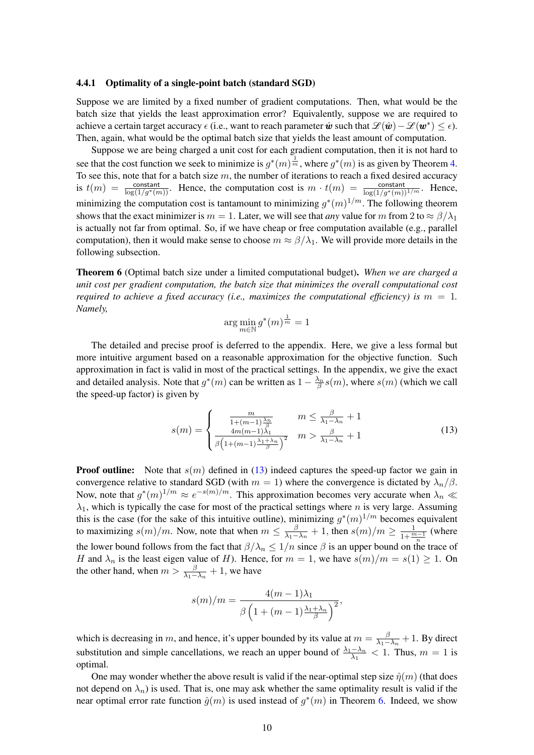### <span id="page-9-2"></span>4.4.1 Optimality of a single-point batch (standard SGD)

Suppose we are limited by a fixed number of gradient computations. Then, what would be the batch size that yields the least approximation error? Equivalently, suppose we are required to achieve a certain target accuracy  $\epsilon$  (i.e., want to reach parameter  $\hat{\bm{w}}$  such that  $\mathscr{L}(\hat{\bm{w}}) - \mathscr{L}(\bm{w}^*) \leq \epsilon$ ). Then, again, what would be the optimal batch size that yields the least amount of computation.

Suppose we are being charged a unit cost for each gradient computation, then it is not hard to see that the cost function we seek to minimize is  $g^*(m) \frac{1}{m}$ , where  $g^*(m)$  is as given by Theorem [4.](#page-7-3) To see this, note that for a batch size  $m$ , the number of iterations to reach a fixed desired accuracy is  $t(m) = \frac{\text{constant}}{\log(1/g^*(m))}$ . Hence, the computation cost is  $m \cdot t(m) = \frac{\text{constant}}{\log(1/g^*(m))^{1/m}}$ . Hence, minimizing the computation cost is tantamount to minimizing  $g^*(m)^{1/m}$ . The following theorem shows that the exact minimizer is  $m = 1$ . Later, we will see that *any* value for m from 2 to  $\approx \frac{\beta}{\lambda_1}$ is actually not far from optimal. So, if we have cheap or free computation available (e.g., parallel computation), then it would make sense to choose  $m \approx \beta/\lambda_1$ . We will provide more details in the following subsection.

<span id="page-9-1"></span>Theorem 6 (Optimal batch size under a limited computational budget). *When we are charged a unit cost per gradient computation, the batch size that minimizes the overall computational cost required to achieve a fixed accuracy (i.e., maximizes the computational efficiency) is*  $m = 1$ . *Namely,*

<span id="page-9-0"></span>
$$
\arg\min_{m\in\mathbb{N}} g^*(m)^{\frac{1}{m}} = 1
$$

The detailed and precise proof is deferred to the appendix. Here, we give a less formal but more intuitive argument based on a reasonable approximation for the objective function. Such approximation in fact is valid in most of the practical settings. In the appendix, we give the exact and detailed analysis. Note that  $g^*(m)$  can be written as  $1 - \frac{\lambda_n}{\beta} s(m)$ , where  $s(m)$  (which we call the speed-up factor) is given by

$$
s(m) = \begin{cases} \frac{m}{1 + (m-1)\frac{\lambda_n}{\beta}} & m \le \frac{\beta}{\lambda_1 - \lambda_n} + 1\\ \frac{4m(m-1)\lambda_1}{\beta \left(1 + (m-1)\frac{\lambda_1 + \lambda_n}{\beta}\right)^2} & m > \frac{\beta}{\lambda_1 - \lambda_n} + 1 \end{cases}
$$
(13)

**Proof outline:** Note that  $s(m)$  defined in [\(13\)](#page-9-0) indeed captures the speed-up factor we gain in convergence relative to standard SGD (with  $m = 1$ ) where the convergence is dictated by  $\lambda_n/\beta$ . Now, note that  $g^*(m)^{1/m} \approx e^{-s(m)/m}$ . This approximation becomes very accurate when  $\lambda_n \ll$  $\lambda_1$ , which is typically the case for most of the practical settings where *n* is very large. Assuming this is the case (for the sake of this intuitive outline), minimizing  $g^*(m)^{1/m}$  becomes equivalent to maximizing  $s(m)/m$ . Now, note that when  $m \leq \frac{\beta}{\lambda_1 - m}$  $\frac{\beta}{\lambda_1 - \lambda_n} + 1$ , then  $s(m)/m \ge \frac{1}{1 + \frac{m-1}{n}}$  (where the lower bound follows from the fact that  $\beta/\lambda_n \leq 1/n$  since  $\beta$  is an upper bound on the trace of H and  $\lambda_n$  is the least eigen value of H). Hence, for  $m = 1$ , we have  $s(m)/m = s(1) \ge 1$ . On the other hand, when  $m > \frac{\beta}{\lambda_1 - \lambda_n} + 1$ , we have

$$
s(m)/m = \frac{4(m-1)\lambda_1}{\beta \left(1 + (m-1)\frac{\lambda_1 + \lambda_n}{\beta}\right)^2},
$$

which is decreasing in m, and hence, it's upper bounded by its value at  $m = \frac{\beta}{\lambda_1 - \beta}$  $\frac{\beta}{\lambda_1 - \lambda_n} + 1$ . By direct substitution and simple cancellations, we reach an upper bound of  $\frac{\lambda_1 - \lambda_n}{\lambda_1} < 1$ . Thus,  $m = 1$  is optimal.

One may wonder whether the above result is valid if the near-optimal step size  $\hat{\eta}(m)$  (that does not depend on  $\lambda_n$ ) is used. That is, one may ask whether the same optimality result is valid if the near optimal error rate function  $\hat{g}(m)$  is used instead of  $g^*(m)$  in Theorem [6.](#page-9-1) Indeed, we show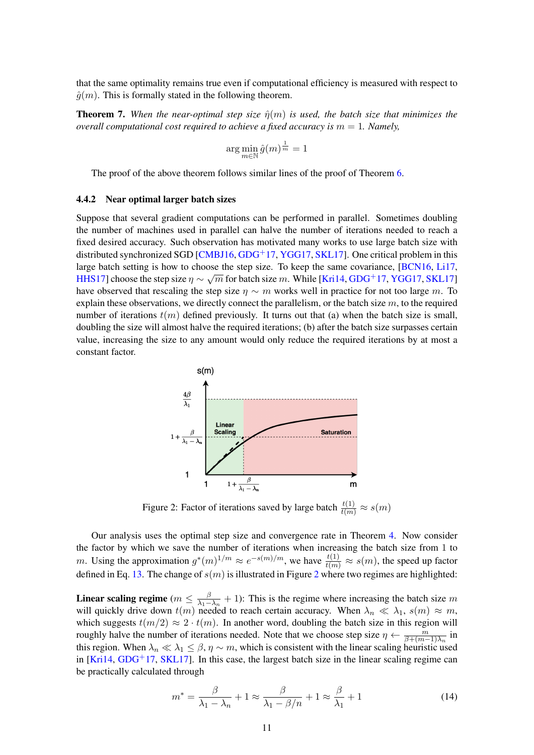that the same optimality remains true even if computational efficiency is measured with respect to  $\hat{q}(m)$ . This is formally stated in the following theorem.

<span id="page-10-2"></span>**Theorem 7.** When the near-optimal step size  $\hat{\eta}(m)$  is used, the batch size that minimizes the *overall computational cost required to achieve a fixed accuracy is*  $m = 1$ *. Namely,* 

$$
\arg\min_{m\in\mathbb{N}}\hat{g}(m)^{\frac{1}{m}}=1
$$

The proof of the above theorem follows similar lines of the proof of Theorem [6.](#page-9-1)

### 4.4.2 Near optimal larger batch sizes

Suppose that several gradient computations can be performed in parallel. Sometimes doubling the number of machines used in parallel can halve the number of iterations needed to reach a fixed desired accuracy. Such observation has motivated many works to use large batch size with distributed synchronized SGD  $[CMBJ16, GDG<sup>+</sup>17, YGG17, SKL17]$  $[CMBJ16, GDG<sup>+</sup>17, YGG17, SKL17]$  $[CMBJ16, GDG<sup>+</sup>17, YGG17, SKL17]$  $[CMBJ16, GDG<sup>+</sup>17, YGG17, SKL17]$  $[CMBJ16, GDG<sup>+</sup>17, YGG17, SKL17]$  $[CMBJ16, GDG<sup>+</sup>17, YGG17, SKL17]$  $[CMBJ16, GDG<sup>+</sup>17, YGG17, SKL17]$ . One critical problem in this large batch setting is how to choose the step size. To keep the same covariance,  $\frac{[BCN16, Li17]}{[BCN16, Li17]}$  $\frac{[BCN16, Li17]}{[BCN16, Li17]}$  $\frac{[BCN16, Li17]}{[BCN16, Li17]}$ [HHS17\]](#page-13-15) choose the step size  $\eta \sim \sqrt{m}$  for batch size m. While [\[Kri14,](#page-13-8) [GDG](#page-13-7)<sup>+</sup>17, [YGG17,](#page-14-9) [SKL17\]](#page-14-10) have observed that rescaling the step size  $\eta \sim m$  works well in practice for not too large m. To explain these observations, we directly connect the parallelism, or the batch size  $m$ , to the required number of iterations  $t(m)$  defined previously. It turns out that (a) when the batch size is small, doubling the size will almost halve the required iterations; (b) after the batch size surpasses certain value, increasing the size to any amount would only reduce the required iterations by at most a constant factor.

<span id="page-10-0"></span>

Figure 2: Factor of iterations saved by large batch  $\frac{t(1)}{t(m)} \approx s(m)$ 

Our analysis uses the optimal step size and convergence rate in Theorem [4.](#page-7-3) Now consider the factor by which we save the number of iterations when increasing the batch size from 1 to m. Using the approximation  $g^*(m)^{1/m} \approx e^{-s(m)/m}$ , we have  $\frac{t(1)}{t(m)} \approx s(m)$ , the speed up factor defined in Eq. [13.](#page-9-0) The change of  $s(m)$  is illustrated in Figure [2](#page-10-0) where two regimes are highlighted:

Linear scaling regime ( $m \leq \frac{\beta}{\lambda_1 - \beta_2}$  $\frac{\beta}{\lambda_1-\lambda_n}$  + 1): This is the regime where increasing the batch size m will quickly drive down  $t(m)$  needed to reach certain accuracy. When  $\lambda_n \ll \lambda_1$ ,  $s(m) \approx m$ , which suggests  $t(m/2) \approx 2 \cdot t(m)$ . In another word, doubling the batch size in this region will roughly halve the number of iterations needed. Note that we choose step size  $\eta \leftarrow \frac{m}{\beta + (m-1)\lambda_n}$  in this region. When  $\lambda_n \ll \lambda_1 \leq \beta$ ,  $\eta \sim m$ , which is consistent with the linear scaling heuristic used in  $[Kri14, GDG<sup>+</sup>17, SKL17]$  $[Kri14, GDG<sup>+</sup>17, SKL17]$  $[Kri14, GDG<sup>+</sup>17, SKL17]$  $[Kri14, GDG<sup>+</sup>17, SKL17]$  $[Kri14, GDG<sup>+</sup>17, SKL17]$ . In this case, the largest batch size in the linear scaling regime can be practically calculated through

<span id="page-10-1"></span>
$$
m^* = \frac{\beta}{\lambda_1 - \lambda_n} + 1 \approx \frac{\beta}{\lambda_1 - \beta/n} + 1 \approx \frac{\beta}{\lambda_1} + 1 \tag{14}
$$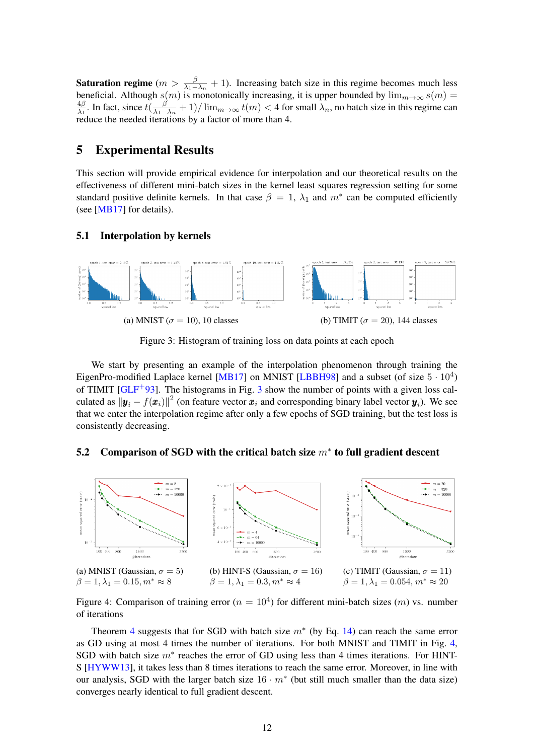**Saturation regime**  $(m > \frac{\beta}{\lambda_1 - \lambda_n} + 1)$ . Increasing batch size in this regime becomes much less beneficial. Although  $s(m)$  is monotonically increasing, it is upper bounded by  $\lim_{m\to\infty} s(m) =$ <br><sup>4β</sup> In fact since  $t^{(\beta)}$  | 1)/ $\lim_{m\to\infty} t(m) < 4$  for small) are hotch size in this regime can  $rac{4\beta}{\lambda_1}$ . In fact, since  $t(\frac{\beta}{\lambda_1 - \beta})$  $\frac{\beta}{\lambda_1-\lambda_n}+1)/\lim_{m\to\infty}t(m)<4$  for small  $\lambda_n$ , no batch size in this regime can reduce the needed iterations by a factor of more than 4.

## <span id="page-11-0"></span>5 Experimental Results

This section will provide empirical evidence for interpolation and our theoretical results on the effectiveness of different mini-batch sizes in the kernel least squares regression setting for some standard positive definite kernels. In that case  $\beta = 1$ ,  $\lambda_1$  and  $m^*$  can be computed efficiently (see [\[MB17\]](#page-14-3) for details).

### 5.1 Interpolation by kernels

<span id="page-11-1"></span>

Figure 3: Histogram of training loss on data points at each epoch

We start by presenting an example of the interpolation phenomenon through training the EigenPro-modified Laplace kernel [\[MB17\]](#page-14-3) on MNIST [\[LBBH98\]](#page-13-16) and a subset (of size  $5 \cdot 10^4$ ) of TIMIT  $[GLF^+93]$  $[GLF^+93]$  $[GLF^+93]$  $[GLF^+93]$ . The histograms in Fig. 3 show the number of points with a given loss calculated as  $\|\bm{y}_i - f(\bm{x}_i)\|^2$  (on feature vector  $\bm{x}_i$  and corresponding binary label vector  $\bm{y}_i$ ). We see that we enter the interpolation regime after only a few epochs of SGD training, but the test loss is consistently decreasing.

## 5.2 Comparison of SGD with the critical batch size  $m^*$  to full gradient descent

<span id="page-11-2"></span>

Figure 4: Comparison of training error ( $n = 10<sup>4</sup>$ ) for different mini-batch sizes (*m*) vs. number of iterations

Theorem [4](#page-7-3) suggests that for SGD with batch size  $m^*$  (by Eq. [14\)](#page-10-1) can reach the same error as GD using at most 4 times the number of iterations. For both MNIST and TIMIT in Fig. [4,](#page-11-2) SGD with batch size  $m^*$  reaches the error of GD using less than 4 times iterations. For HINT-S [\[HYWW13\]](#page-13-18), it takes less than 8 times iterations to reach the same error. Moreover, in line with our analysis, SGD with the larger batch size  $16 \cdot m^*$  (but still much smaller than the data size) converges nearly identical to full gradient descent.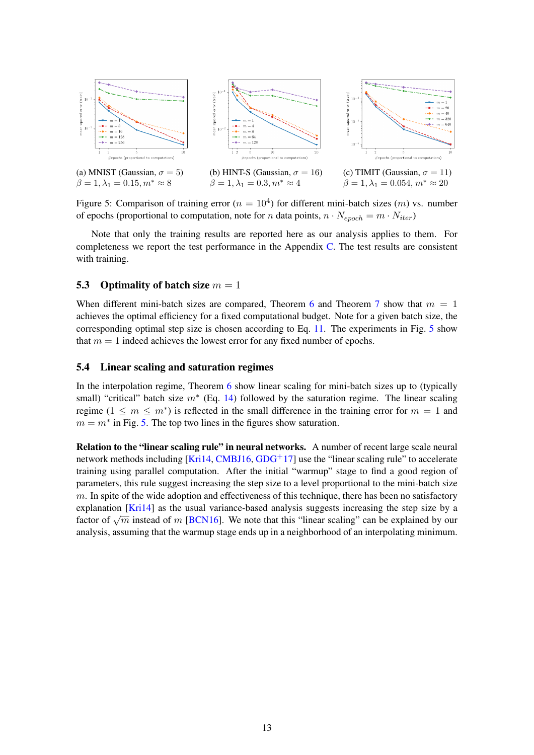<span id="page-12-0"></span>

Figure 5: Comparison of training error ( $n = 10<sup>4</sup>$ ) for different mini-batch sizes (*m*) vs. number of epochs (proportional to computation, note for *n* data points,  $n \cdot N_{epoch} = m \cdot N_{iter}$ )

Note that only the training results are reported here as our analysis applies to them. For completeness we report the test performance in the Appendix [C.](#page-17-0) The test results are consistent with training.

### 5.3 Optimality of batch size  $m = 1$

When different mini-batch sizes are compared. Theorem [6](#page-9-1) and Theorem [7](#page-10-2) show that  $m = 1$ achieves the optimal efficiency for a fixed computational budget. Note for a given batch size, the corresponding optimal step size is chosen according to Eq. [11.](#page-8-0) The experiments in Fig. [5](#page-12-0) show that  $m = 1$  indeed achieves the lowest error for any fixed number of epochs.

### 5.4 Linear scaling and saturation regimes

In the interpolation regime, Theorem [6](#page-9-1) show linear scaling for mini-batch sizes up to (typically small) "critical" batch size  $m^*$  (Eq. [14\)](#page-10-1) followed by the saturation regime. The linear scaling regime  $(1 \leq m \leq m^*)$  is reflected in the small difference in the training error for  $m = 1$  and  $m = m^*$  in Fig. [5.](#page-12-0) The top two lines in the figures show saturation.

Relation to the "linear scaling rule" in neural networks. A number of recent large scale neural network methods including [\[Kri14,](#page-13-8) [CMBJ16,](#page-13-12) [GDG](#page-13-7)<sup>+</sup>17] use the "linear scaling rule" to accelerate training using parallel computation. After the initial "warmup" stage to find a good region of parameters, this rule suggest increasing the step size to a level proportional to the mini-batch size  $m$ . In spite of the wide adoption and effectiveness of this technique, there has been no satisfactory explanation [\[Kri14\]](#page-13-8) as the usual variance-based analysis suggests increasing the step size by a Expranation [KITT4] as the usual variance-based analysis suggests increasing the step size by a factor of  $\sqrt{m}$  instead of m [\[BCN16\]](#page-13-13). We note that this "linear scaling" can be explained by our analysis, assuming that the warmup stage ends up in a neighborhood of an interpolating minimum.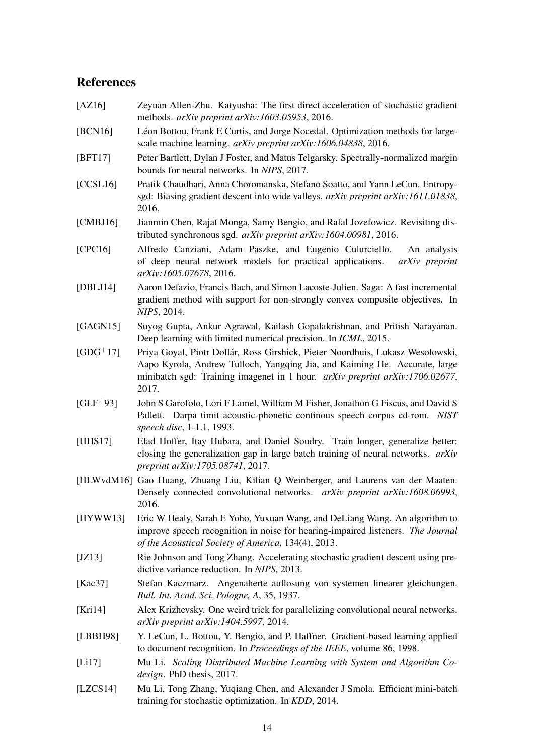## References

- <span id="page-13-11"></span>[AZ16] Zeyuan Allen-Zhu. Katyusha: The first direct acceleration of stochastic gradient methods. *arXiv preprint arXiv:1603.05953*, 2016.
- <span id="page-13-13"></span>[BCN16] Léon Bottou, Frank E Curtis, and Jorge Nocedal. Optimization methods for largescale machine learning. *arXiv preprint arXiv:1606.04838*, 2016.
- <span id="page-13-4"></span>[BFT17] Peter Bartlett, Dylan J Foster, and Matus Telgarsky. Spectrally-normalized margin bounds for neural networks. In *NIPS*, 2017.
- <span id="page-13-2"></span>[CCSL16] Pratik Chaudhari, Anna Choromanska, Stefano Soatto, and Yann LeCun. Entropysgd: Biasing gradient descent into wide valleys. *arXiv preprint arXiv:1611.01838*, 2016.
- <span id="page-13-12"></span>[CMBJ16] Jianmin Chen, Rajat Monga, Samy Bengio, and Rafal Jozefowicz. Revisiting distributed synchronous sgd. *arXiv preprint arXiv:1604.00981*, 2016.
- <span id="page-13-0"></span>[CPC16] Alfredo Canziani, Adam Paszke, and Eugenio Culurciello. An analysis of deep neural network models for practical applications. *arXiv preprint arXiv:1605.07678*, 2016.
- <span id="page-13-10"></span>[DBLJ14] Aaron Defazio, Francis Bach, and Simon Lacoste-Julien. Saga: A fast incremental gradient method with support for non-strongly convex composite objectives. In *NIPS*, 2014.
- <span id="page-13-1"></span>[GAGN15] Suyog Gupta, Ankur Agrawal, Kailash Gopalakrishnan, and Pritish Narayanan. Deep learning with limited numerical precision. In *ICML*, 2015.
- <span id="page-13-7"></span>[GDG+17] Priya Goyal, Piotr Dollár, Ross Girshick, Pieter Noordhuis, Lukasz Wesolowski, Aapo Kyrola, Andrew Tulloch, Yangqing Jia, and Kaiming He. Accurate, large minibatch sgd: Training imagenet in 1 hour. *arXiv preprint arXiv:1706.02677*, 2017.
- <span id="page-13-17"></span>[GLF+93] John S Garofolo, Lori F Lamel, William M Fisher, Jonathon G Fiscus, and David S Pallett. Darpa timit acoustic-phonetic continous speech corpus cd-rom. *NIST speech disc*, 1-1.1, 1993.
- <span id="page-13-15"></span>[HHS17] Elad Hoffer, Itay Hubara, and Daniel Soudry. Train longer, generalize better: closing the generalization gap in large batch training of neural networks. *arXiv preprint arXiv:1705.08741*, 2017.
- <span id="page-13-3"></span>[HLWvdM16] Gao Huang, Zhuang Liu, Kilian Q Weinberger, and Laurens van der Maaten. Densely connected convolutional networks. *arXiv preprint arXiv:1608.06993*, 2016.
- <span id="page-13-18"></span>[HYWW13] Eric W Healy, Sarah E Yoho, Yuxuan Wang, and DeLiang Wang. An algorithm to improve speech recognition in noise for hearing-impaired listeners. *The Journal of the Acoustical Society of America*, 134(4), 2013.
- <span id="page-13-9"></span>[JZ13] Rie Johnson and Tong Zhang. Accelerating stochastic gradient descent using predictive variance reduction. In *NIPS*, 2013.
- <span id="page-13-5"></span>[Kac37] Stefan Kaczmarz. Angenaherte auflosung von systemen linearer gleichungen. *Bull. Int. Acad. Sci. Pologne, A*, 35, 1937.
- <span id="page-13-8"></span>[Kri14] Alex Krizhevsky. One weird trick for parallelizing convolutional neural networks. *arXiv preprint arXiv:1404.5997*, 2014.
- <span id="page-13-16"></span>[LBBH98] Y. LeCun, L. Bottou, Y. Bengio, and P. Haffner. Gradient-based learning applied to document recognition. In *Proceedings of the IEEE*, volume 86, 1998.
- <span id="page-13-14"></span>[Li17] Mu Li. *Scaling Distributed Machine Learning with System and Algorithm Codesign*. PhD thesis, 2017.
- <span id="page-13-6"></span>[LZCS14] Mu Li, Tong Zhang, Yuqiang Chen, and Alexander J Smola. Efficient mini-batch training for stochastic optimization. In *KDD*, 2014.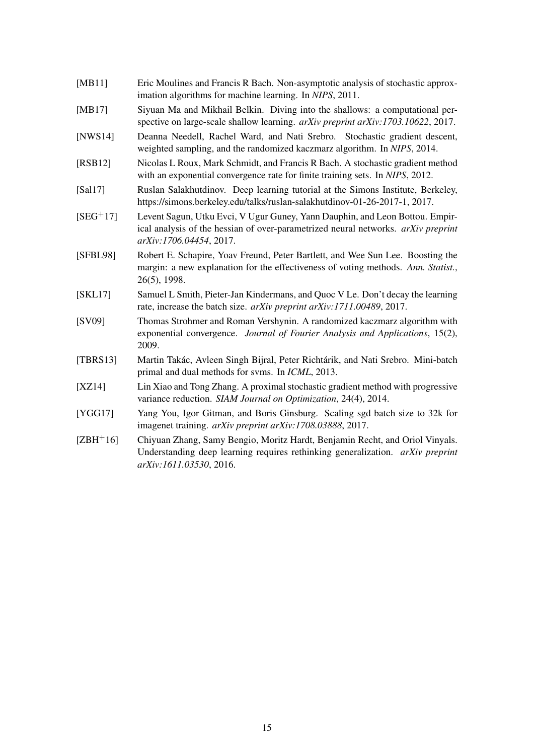- <span id="page-14-6"></span>[MB11] Eric Moulines and Francis R Bach. Non-asymptotic analysis of stochastic approximation algorithms for machine learning. In *NIPS*, 2011.
- <span id="page-14-3"></span>[MB17] Siyuan Ma and Mikhail Belkin. Diving into the shallows: a computational perspective on large-scale shallow learning. *arXiv preprint arXiv:1703.10622*, 2017.
- <span id="page-14-7"></span>[NWS14] Deanna Needell, Rachel Ward, and Nati Srebro. Stochastic gradient descent, weighted sampling, and the randomized kaczmarz algorithm. In *NIPS*, 2014.
- <span id="page-14-11"></span>[RSB12] Nicolas L Roux, Mark Schmidt, and Francis R Bach. A stochastic gradient method with an exponential convergence rate for finite training sets. In *NIPS*, 2012.
- <span id="page-14-0"></span>[Sal17] Ruslan Salakhutdinov. Deep learning tutorial at the Simons Institute, Berkeley, https://simons.berkeley.edu/talks/ruslan-salakhutdinov-01-26-2017-1, 2017.
- <span id="page-14-2"></span>[SEG+17] Levent Sagun, Utku Evci, V Ugur Guney, Yann Dauphin, and Leon Bottou. Empirical analysis of the hessian of over-parametrized neural networks. *arXiv preprint arXiv:1706.04454*, 2017.
- <span id="page-14-4"></span>[SFBL98] Robert E. Schapire, Yoav Freund, Peter Bartlett, and Wee Sun Lee. Boosting the margin: a new explanation for the effectiveness of voting methods. *Ann. Statist.*, 26(5), 1998.
- <span id="page-14-10"></span>[SKL17] Samuel L Smith, Pieter-Jan Kindermans, and Quoc V Le. Don't decay the learning rate, increase the batch size. *arXiv preprint arXiv:1711.00489*, 2017.
- <span id="page-14-5"></span>[SV09] Thomas Strohmer and Roman Vershynin. A randomized kaczmarz algorithm with exponential convergence. *Journal of Fourier Analysis and Applications*, 15(2), 2009.
- <span id="page-14-8"></span>[TBRS13] Martin Takác, Avleen Singh Bijral, Peter Richtárik, and Nati Srebro. Mini-batch primal and dual methods for svms. In *ICML*, 2013.
- <span id="page-14-12"></span>[XZ14] Lin Xiao and Tong Zhang. A proximal stochastic gradient method with progressive variance reduction. *SIAM Journal on Optimization*, 24(4), 2014.
- <span id="page-14-9"></span>[YGG17] Yang You, Igor Gitman, and Boris Ginsburg. Scaling sgd batch size to 32k for imagenet training. *arXiv preprint arXiv:1708.03888*, 2017.
- <span id="page-14-1"></span>[ZBH+16] Chiyuan Zhang, Samy Bengio, Moritz Hardt, Benjamin Recht, and Oriol Vinyals. Understanding deep learning requires rethinking generalization. *arXiv preprint arXiv:1611.03530*, 2016.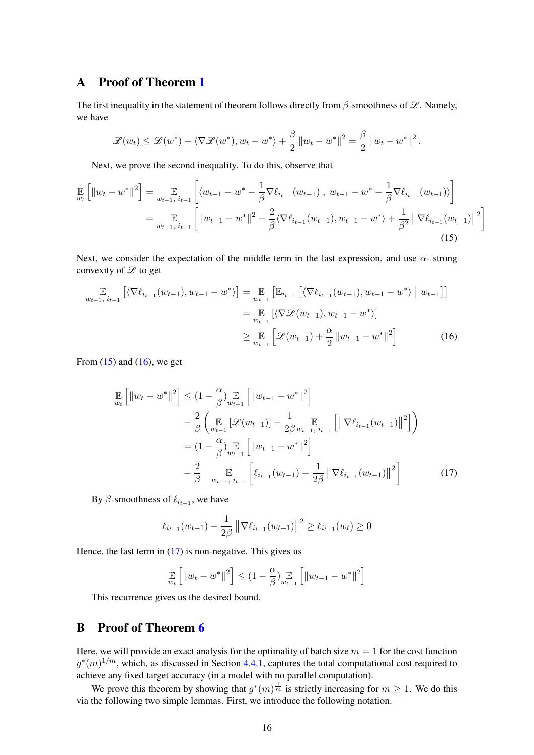## A Proof of Theorem [1](#page-4-2)

The first inequality in the statement of theorem follows directly from  $\beta$ -smoothness of  $\mathscr{L}$ . Namely, we have

<span id="page-15-0"></span>
$$
\mathscr{L}(w_t) \leq \mathscr{L}(w^*) + \langle \nabla \mathscr{L}(w^*), w_t - w^* \rangle + \frac{\beta}{2} ||w_t - w^*||^2 = \frac{\beta}{2} ||w_t - w^*||^2.
$$

Next, we prove the second inequality. To do this, observe that

$$
\mathbb{E}_{w_t} \left[ \|w_t - w^*\|^2 \right] = \mathbb{E}_{w_{t-1}, i_{t-1}} \left[ \langle w_{t-1} - w^* - \frac{1}{\beta} \nabla \ell_{i_{t-1}}(w_{t-1}), w_{t-1} - w^* - \frac{1}{\beta} \nabla \ell_{i_{t-1}}(w_{t-1}) \rangle \right]
$$
\n
$$
= \mathbb{E}_{w_{t-1}, i_{t-1}} \left[ \|w_{t-1} - w^*\|^2 - \frac{2}{\beta} \langle \nabla \ell_{i_{t-1}}(w_{t-1}), w_{t-1} - w^* \rangle + \frac{1}{\beta^2} \left\| \nabla \ell_{i_{t-1}}(w_{t-1}) \right\|^2 \right]
$$
\n(15)

Next, we consider the expectation of the middle term in the last expression, and use  $\alpha$ - strong convexity of  $\mathscr L$  to get

$$
\mathbb{E}_{w_{t-1}, i_{t-1}} [\langle \nabla \ell_{i_{t-1}}(w_{t-1}), w_{t-1} - w^* \rangle] = \mathbb{E}_{w_{t-1}} [\mathbb{E}_{i_{t-1}} [\langle \nabla \ell_{i_{t-1}}(w_{t-1}), w_{t-1} - w^* \rangle | w_{t-1}]]
$$
  
\n
$$
= \mathbb{E}_{w_{t-1}} [\langle \nabla \mathcal{L}(w_{t-1}), w_{t-1} - w^* \rangle]
$$
  
\n
$$
\geq \mathbb{E}_{w_{t-1}} [\mathcal{L}(w_{t-1}) + \frac{\alpha}{2} ||w_{t-1} - w^*||^2]
$$
(16)

From  $(15)$  and  $(16)$ , we get

<span id="page-15-1"></span>
$$
\mathbb{E}\left[\|w_t - w^*\|^2\right] \leq (1 - \frac{\alpha}{\beta}) \mathbb{E}\left[\|w_{t-1} - w^*\|^2\right] \n- \frac{2}{\beta} \left(\mathbb{E}\left[\mathcal{L}(w_{t-1})\right] - \frac{1}{2\beta} \mathbb{E}\left[\|\nabla \ell_{i_{t-1}}(w_{t-1})\|^2\right]\right) \n= (1 - \frac{\alpha}{\beta}) \mathbb{E}\left[\|w_{t-1} - w^*\|^2\right] \n- \frac{2}{\beta} \mathbb{E}\left[\|w_{t-1} - w^*\|^2\right] \n- \frac{2}{\beta} \mathbb{E}\left[\|\ell_{i_{t-1}}(w_{t-1}) - \frac{1}{2\beta}\|\nabla \ell_{i_{t-1}}(w_{t-1})\|^2\right]
$$
\n(17)

By  $\beta$ -smoothness of  $\ell_{i_{t-1}}$ , we have

<span id="page-15-2"></span>
$$
\ell_{i_{t-1}}(w_{t-1}) - \frac{1}{2\beta} \left\| \nabla \ell_{i_{t-1}}(w_{t-1}) \right\|^2 \ge \ell_{i_{t-1}}(w_t) \ge 0
$$

Hence, the last term in  $(17)$  is non-negative. This gives us

$$
\mathop{\mathbb{E}}_{w_t}\left[\|w_t - w^*\|^2\right] \leq (1 - \frac{\alpha}{\beta}) \mathop{\mathbb{E}}_{w_{t-1}}\left[\|w_{t-1} - w^*\|^2\right]
$$

This recurrence gives us the desired bound.

## B Proof of Theorem [6](#page-9-1)

Here, we will provide an exact analysis for the optimality of batch size  $m = 1$  for the cost function  $g^*(m)^{1/m}$ , which, as discussed in Section [4.4.1,](#page-9-2) captures the total computational cost required to achieve any fixed target accuracy (in a model with no parallel computation).

We prove this theorem by showing that  $g^*(m)^\frac{1}{m}$  is strictly increasing for  $m \geq 1$ . We do this via the following two simple lemmas. First, we introduce the following notation.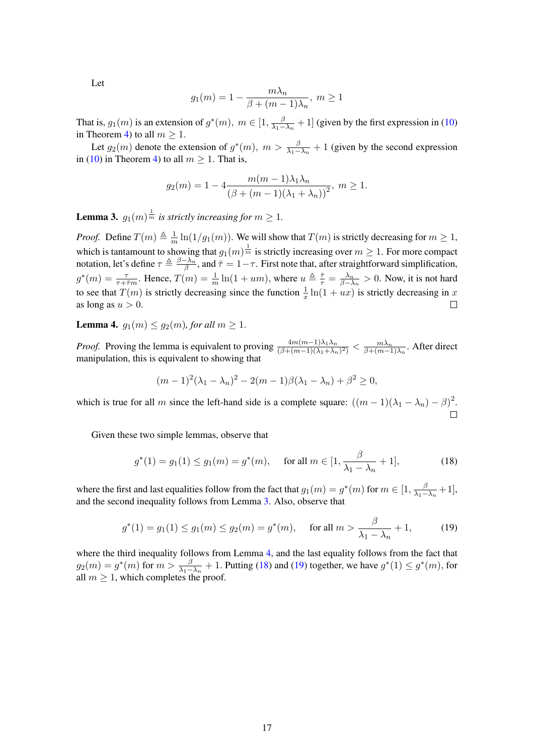Let

$$
g_1(m) = 1 - \frac{m\lambda_n}{\beta + (m-1)\lambda_n}, \ m \ge 1
$$

That is,  $g_1(m)$  is an extension of  $g^*(m)$ ,  $m \in [1, \frac{\beta}{\lambda_1 - \beta_2}]$  $\frac{\beta}{\lambda_1 - \lambda_n} + 1$ ] (given by the first expression in [\(10\)](#page-7-2) in Theorem [4\)](#page-7-3) to all  $m \geq 1$ .

Let  $g_2(m)$  denote the extension of  $g^*(m)$ ,  $m > \frac{\beta}{\lambda_1 - \lambda_n} + 1$  (given by the second expression in [\(10\)](#page-7-2) in Theorem [4\)](#page-7-3) to all  $m \ge 1$ . That is,

$$
g_2(m) = 1 - 4 \frac{m(m-1)\lambda_1\lambda_n}{(\beta + (m-1)(\lambda_1 + \lambda_n))^2}, \ m \ge 1.
$$

<span id="page-16-0"></span>**Lemma 3.**  $g_1(m)^{\frac{1}{m}}$  is strictly increasing for  $m \geq 1$ .

*Proof.* Define  $T(m) \triangleq \frac{1}{m}$  $\frac{1}{m} \ln(1/g_1(m))$ . We will show that  $T(m)$  is strictly decreasing for  $m \ge 1$ , which is tantamount to showing that  $g_1(m)^{\frac{1}{m}}$  is strictly increasing over  $m \geq 1$ . For more compact notation, let's define  $\tau \triangleq \frac{\beta - \lambda_n}{\beta}$  $\frac{\tau \lambda_n}{\beta}$ , and  $\bar{\tau} = 1 - \tau$ . First note that, after straightforward simplification,  $g^*(m) = \frac{\tau}{\tau + \bar{\tau}m}$ . Hence,  $T(m) = \frac{1}{m} \ln(1 + um)$ , where  $u \triangleq \frac{\bar{\tau}}{\tau} = \frac{\lambda_n}{\beta - \lambda}$  $\frac{\lambda_n}{\beta - \lambda_n} > 0$ . Now, it is not hard to see that  $T(m)$  is strictly decreasing since the function  $\frac{1}{x} \ln(1 + ux)$  is strictly decreasing in x as long as  $u > 0$ .  $\Box$ 

<span id="page-16-1"></span>**Lemma 4.**  $q_1(m) \leq q_2(m)$ , for all  $m \geq 1$ .

*Proof.* Proving the lemma is equivalent to proving  $\frac{4m(m-1)\lambda_1\lambda_n}{(\beta+(m-1)(\lambda_1+\lambda_n)^2)} < \frac{m\lambda_n}{\beta+(m-1)}$  $\frac{m\lambda_n}{\beta + (m-1)\lambda_n}$ . After direct manipulation, this is equivalent to showing that

<span id="page-16-2"></span>
$$
(m-1)^{2}(\lambda_1 - \lambda_n)^{2} - 2(m-1)\beta(\lambda_1 - \lambda_n) + \beta^{2} \ge 0,
$$

which is true for all m since the left-hand side is a complete square:  $((m-1)(\lambda_1 - \lambda_n) - \beta)^2$ .

Given these two simple lemmas, observe that

<span id="page-16-3"></span>
$$
g^*(1) = g_1(1) \le g_1(m) = g^*(m), \quad \text{ for all } m \in [1, \frac{\beta}{\lambda_1 - \lambda_n} + 1], \tag{18}
$$

where the first and last equalities follow from the fact that  $g_1(m) = g^*(m)$  for  $m \in [1, \frac{\beta}{\lambda_1}]$  $\frac{\beta}{\lambda_1-\lambda_n}+1],$ and the second inequality follows from Lemma [3.](#page-16-0) Also, observe that

$$
g^*(1) = g_1(1) \le g_1(m) \le g_2(m) = g^*(m), \quad \text{ for all } m > \frac{\beta}{\lambda_1 - \lambda_n} + 1,
$$
 (19)

where the third inequality follows from Lemma [4,](#page-16-1) and the last equality follows from the fact that  $g_2(m) = g^*(m)$  for  $m > \frac{\beta}{\lambda_1 - \lambda_n} + 1$ . Putting [\(18\)](#page-16-2) and [\(19\)](#page-16-3) together, we have  $g^*(1) \le g^*(m)$ , for all  $m \geq 1$ , which completes the proof.